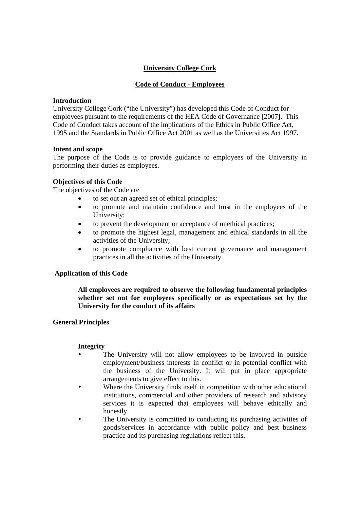# **University College Cork**

# **Code of Conduct - Employees**

#### **Introduction**

University College Cork ("the University") has developed this Code of Conduct for employees pursuant to the requirements of the HEA Code of Governance [2007]. This Code of Conduct takes account of the implications of the Ethics in Public Office Act, 1995 and the Standards in Public Office Act 2001 as well as the Universities Act 1997.

#### **Intent and scope**

The purpose of the Code is to provide guidance to employees of the University in performing their duties as employees.

### **Objectives of this Code**

The objectives of the Code are

- to set out an agreed set of ethical principles;
- to promote and maintain confidence and trust in the employees of the University;
- to prevent the development or acceptance of unethical practices;
- to promote the highest legal, management and ethical standards in all the activities of the University;
- to promote compliance with best current governance and management practices in all the activities of the University.

### **Application of this Code**

**All employees are required to observe the following fundamental principles whether set out for employees specifically or as expectations set by the University for the conduct of its affairs**

### **General Principles**

### **Integrity**

- The University will not allow employees to be involved in outside employment/business interests in conflict or in potential conflict with the business of the University. It will put in place appropriate arrangements to give effect to this.
- Where the University finds itself in competition with other educational institutions, commercial and other providers of research and advisory services it is expected that employees will behave ethically and honestly.
- The University is committed to conducting its purchasing activities of goods/services in accordance with public policy and best business practice and its purchasing regulations reflect this.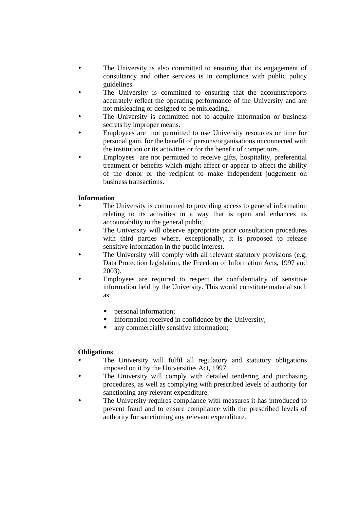- The University is also committed to ensuring that its engagement of consultancy and other services is in compliance with public policy guidelines.
- The University is committed to ensuring that the accounts/reports accurately reflect the operating performance of the University and are not misleading or designed to be misleading.
- The University is committed not to acquire information or business secrets by improper means.
- Employees are not permitted to use University resources or time for personal gain, for the benefit of persons/organisations unconnected with the institution or its activities or for the benefit of competitors.
- Employees are not permitted to receive gifts, hospitality, preferential treatment or benefits which might affect or appear to affect the ability of the donor or the recipient to make independent judgement on business transactions.

# **Information**

- The University is committed to providing access to general information relating to its activities in a way that is open and enhances its accountability to the general public.
- The University will observe appropriate prior consultation procedures with third parties where, exceptionally, it is proposed to release sensitive information in the public interest.
- The University will comply with all relevant statutory provisions (e.g. Data Protection legislation, the Freedom of Information Acts, 1997 and 2003).
- Employees are required to respect the confidentiality of sensitive information held by the University. This would constitute material such as:
	- **Personal information;**
	- information received in confidence by the University;
	- any commercially sensitive information;

### **Obligations**

- The University will fulfil all regulatory and statutory obligations imposed on it by the Universities Act, 1997.
- The University will comply with detailed tendering and purchasing procedures, as well as complying with prescribed levels of authority for sanctioning any relevant expenditure.
- The University requires compliance with measures it has introduced to prevent fraud and to ensure compliance with the prescribed levels of authority for sanctioning any relevant expenditure.